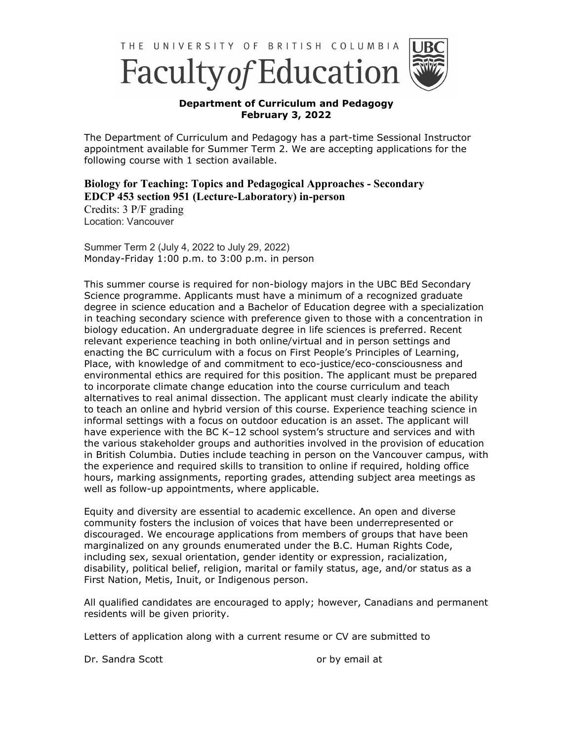

## **Department of Curriculum and Pedagogy February 3, 2022**

The Department of Curriculum and Pedagogy has a part-time Sessional Instructor appointment available for Summer Term 2. We are accepting applications for the following course with 1 section available.

## **Biology for Teaching: Topics and Pedagogical Approaches - Secondary EDCP 453 section 951 (Lecture-Laboratory) in-person**

Credits: 3 P/F grading Location: Vancouver

Summer Term 2 (July 4, 2022 to July 29, 2022) Monday-Friday 1:00 p.m. to 3:00 p.m. in person

This summer course is required for non-biology majors in the UBC BEd Secondary Science programme. Applicants must have a minimum of a recognized graduate degree in science education and a Bachelor of Education degree with a specialization in teaching secondary science with preference given to those with a concentration in biology education. An undergraduate degree in life sciences is preferred. Recent relevant experience teaching in both online/virtual and in person settings and enacting the BC curriculum with a focus on First People's Principles of Learning, Place, with knowledge of and commitment to eco-justice/eco-consciousness and environmental ethics are required for this position. The applicant must be prepared to incorporate climate change education into the course curriculum and teach alternatives to real animal dissection. The applicant must clearly indicate the ability to teach an online and hybrid version of this course. Experience teaching science in informal settings with a focus on outdoor education is an asset. The applicant will have experience with the BC K–12 school system's structure and services and with the various stakeholder groups and authorities involved in the provision of education in British Columbia. Duties include teaching in person on the Vancouver campus, with the experience and required skills to transition to online if required, holding office hours, marking assignments, reporting grades, attending subject area meetings as well as follow-up appointments, where applicable.

Equity and diversity are essential to academic excellence. An open and diverse community fosters the inclusion of voices that have been underrepresented or discouraged. We encourage applications from members of groups that have been marginalized on any grounds enumerated under the B.C. Human Rights Code, including sex, sexual orientation, gender identity or expression, racialization, disability, political belief, religion, marital or family status, age, and/or status as a First Nation, Metis, Inuit, or Indigenous person.

All qualified candidates are encouraged to apply; however, Canadians and permanent residents will be given priority.

Letters of application along with a current resume or CV are submitted to

Dr. Sandra Scott **or by email at**